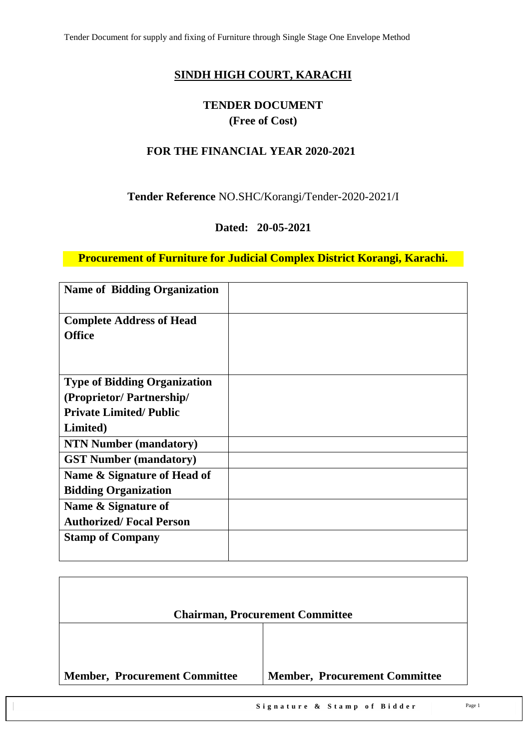# **SINDH HIGH COURT, KARACHI**

# **TENDER DOCUMENT (Free of Cost)**

## **FOR THE FINANCIAL YEAR 2020-2021**

### **Tender Reference** NO.SHC/Korangi/Tender-2020-2021/I

## **Dated: 20-05-2021**

**Procurement of Furniture for Judicial Complex District Korangi, Karachi.**

| <b>Name of Bidding Organization</b> |  |
|-------------------------------------|--|
| <b>Complete Address of Head</b>     |  |
| <b>Office</b>                       |  |
|                                     |  |
| <b>Type of Bidding Organization</b> |  |
| (Proprietor/Partnership/            |  |
| <b>Private Limited/Public</b>       |  |
| Limited)                            |  |
| <b>NTN Number (mandatory)</b>       |  |
| <b>GST Number (mandatory)</b>       |  |
| Name & Signature of Head of         |  |
| <b>Bidding Organization</b>         |  |
| Name & Signature of                 |  |
| <b>Authorized/Focal Person</b>      |  |
| <b>Stamp of Company</b>             |  |
|                                     |  |

| <b>Chairman, Procurement Committee</b> |
|----------------------------------------|
|                                        |
|                                        |
|                                        |
| <b>Member, Procurement Committee</b>   |
|                                        |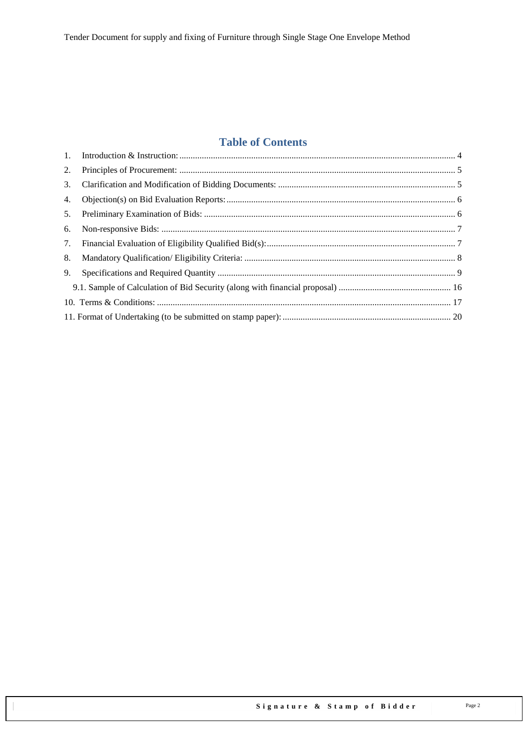# **Table of Contents**

| 1. |  |
|----|--|
| 2. |  |
| 3. |  |
| 4. |  |
| 5. |  |
| 6. |  |
| 7. |  |
| 8. |  |
| 9. |  |
|    |  |
|    |  |
|    |  |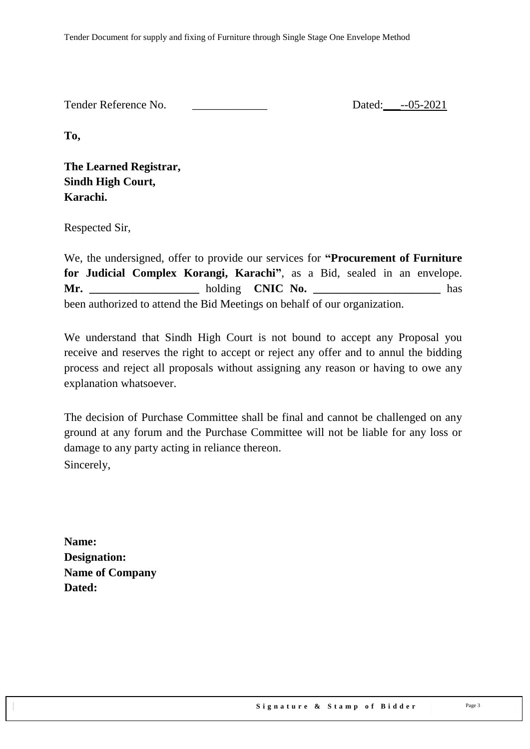| Tender Reference No. | Dated: --05-2021 |
|----------------------|------------------|
|                      |                  |

**To,** 

**The Learned Registrar, Sindh High Court, Karachi.**

Respected Sir,

We, the undersigned, offer to provide our services for **"Procurement of Furniture for Judicial Complex Korangi, Karachi"**, as a Bid, sealed in an envelope. **Mr. \_\_\_\_\_\_\_\_\_\_\_\_\_\_\_\_\_\_\_** holding **CNIC No. \_\_\_\_\_\_\_\_\_\_\_\_\_\_\_\_\_\_\_\_\_\_** has been authorized to attend the Bid Meetings on behalf of our organization.

We understand that Sindh High Court is not bound to accept any Proposal you receive and reserves the right to accept or reject any offer and to annul the bidding process and reject all proposals without assigning any reason or having to owe any explanation whatsoever.

The decision of Purchase Committee shall be final and cannot be challenged on any ground at any forum and the Purchase Committee will not be liable for any loss or damage to any party acting in reliance thereon. Sincerely,

**Name: Designation: Name of Company Dated:**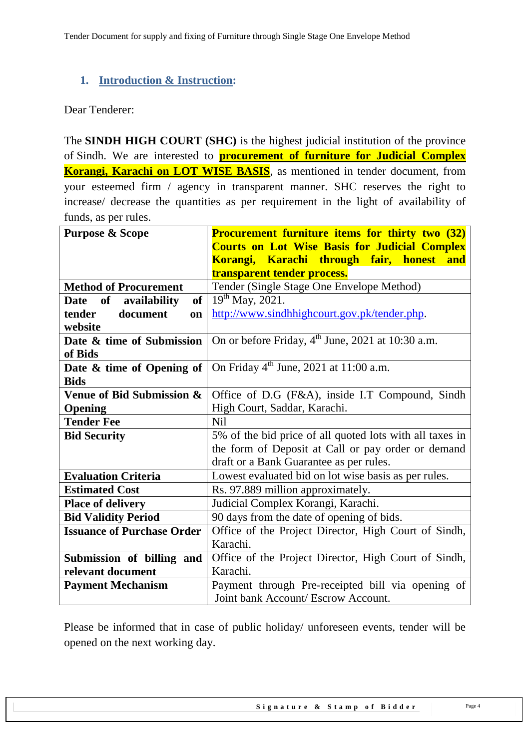## <span id="page-3-0"></span>**1. Introduction & Instruction:**

#### Dear Tenderer:

The **SINDH HIGH COURT (SHC)** is the highest judicial institution of the province of [Sindh.](https://en.wikipedia.org/wiki/Sindh) We are interested to **procurement of furniture for Judicial Complex Korangi, Karachi on LOT WISE BASIS**, as mentioned in tender document, from your esteemed firm / agency in transparent manner. SHC reserves the right to increase/ decrease the quantities as per requirement in the light of availability of funds, as per rules.

| <b>Purpose &amp; Scope</b>        | <b>Procurement furniture items for thirty two (32)</b>        |  |  |  |
|-----------------------------------|---------------------------------------------------------------|--|--|--|
|                                   | <b>Courts on Lot Wise Basis for Judicial Complex</b>          |  |  |  |
|                                   | Korangi, Karachi through fair, honest and                     |  |  |  |
|                                   | transparent tender process.                                   |  |  |  |
| <b>Method of Procurement</b>      | Tender (Single Stage One Envelope Method)                     |  |  |  |
| of<br>availability<br><b>Date</b> | of   $19^{th}$ May, 2021.                                     |  |  |  |
| document<br>tender<br>on          | http://www.sindhhighcourt.gov.pk/tender.php.                  |  |  |  |
| website                           |                                                               |  |  |  |
| Date & time of Submission         | On or before Friday, 4 <sup>th</sup> June, 2021 at 10:30 a.m. |  |  |  |
| of Bids                           |                                                               |  |  |  |
| Date & time of Opening of         | On Friday $4th$ June, 2021 at 11:00 a.m.                      |  |  |  |
| <b>Bids</b>                       |                                                               |  |  |  |
| Venue of Bid Submission &         | Office of D.G (F&A), inside I.T Compound, Sindh               |  |  |  |
| Opening                           | High Court, Saddar, Karachi.                                  |  |  |  |
| <b>Tender Fee</b>                 | <b>Nil</b>                                                    |  |  |  |
| <b>Bid Security</b>               | 5% of the bid price of all quoted lots with all taxes in      |  |  |  |
|                                   | the form of Deposit at Call or pay order or demand            |  |  |  |
|                                   | draft or a Bank Guarantee as per rules.                       |  |  |  |
| <b>Evaluation Criteria</b>        | Lowest evaluated bid on lot wise basis as per rules.          |  |  |  |
| <b>Estimated Cost</b>             | Rs. 97.889 million approximately.                             |  |  |  |
| <b>Place of delivery</b>          | Judicial Complex Korangi, Karachi.                            |  |  |  |
| <b>Bid Validity Period</b>        | 90 days from the date of opening of bids.                     |  |  |  |
| <b>Issuance of Purchase Order</b> | Office of the Project Director, High Court of Sindh,          |  |  |  |
|                                   | Karachi.                                                      |  |  |  |
| Submission of billing and         | Office of the Project Director, High Court of Sindh,          |  |  |  |
| relevant document                 | Karachi.                                                      |  |  |  |
| <b>Payment Mechanism</b>          | Payment through Pre-receipted bill via opening of             |  |  |  |
|                                   | Joint bank Account/ Escrow Account.                           |  |  |  |

Please be informed that in case of public holiday/ unforeseen events, tender will be opened on the next working day.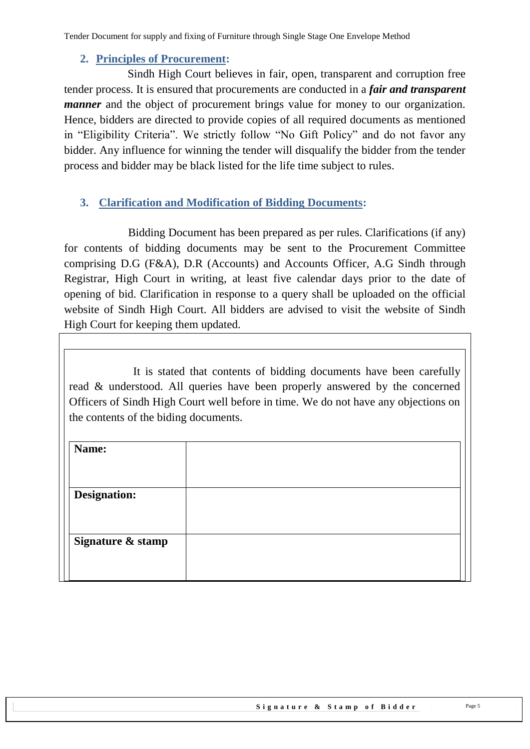### **2. Principles of Procurement:**

<span id="page-4-0"></span> Sindh High Court believes in fair, open, transparent and corruption free tender process. It is ensured that procurements are conducted in a *fair and transparent manner* and the object of procurement brings value for money to our organization. Hence, bidders are directed to provide copies of all required documents as mentioned in "Eligibility Criteria". We strictly follow "No Gift Policy" and do not favor any bidder. Any influence for winning the tender will disqualify the bidder from the tender process and bidder may be black listed for the life time subject to rules.

## <span id="page-4-1"></span>**3. Clarification and Modification of Bidding Documents:**

Bidding Document has been prepared as per rules. Clarifications (if any) for contents of bidding documents may be sent to the Procurement Committee comprising D.G (F&A), D.R (Accounts) and Accounts Officer, A.G Sindh through Registrar, High Court in writing, at least five calendar days prior to the date of opening of bid. Clarification in response to a query shall be uploaded on the official website of Sindh High Court. All bidders are advised to visit the website of Sindh High Court for keeping them updated.

It is stated that contents of bidding documents have been carefully read & understood. All queries have been properly answered by the concerned Officers of Sindh High Court well before in time. We do not have any objections on the contents of the biding documents.

| Name:               |  |
|---------------------|--|
| <b>Designation:</b> |  |
| Signature & stamp   |  |
|                     |  |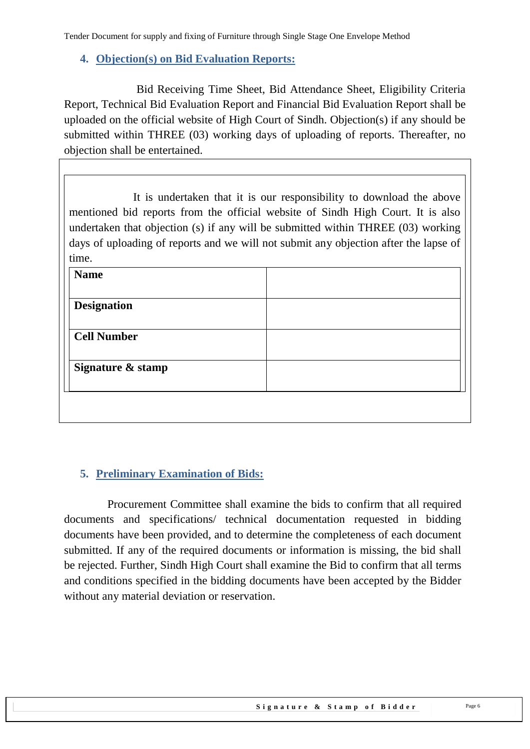## <span id="page-5-0"></span>**4. Objection(s) on Bid Evaluation Reports:**

 Bid Receiving Time Sheet, Bid Attendance Sheet, Eligibility Criteria Report, Technical Bid Evaluation Report and Financial Bid Evaluation Report shall be uploaded on the official website of High Court of Sindh. Objection(s) if any should be submitted within THREE (03) working days of uploading of reports. Thereafter, no objection shall be entertained.

It is undertaken that it is our responsibility to download the above mentioned bid reports from the official website of Sindh High Court. It is also undertaken that objection (s) if any will be submitted within THREE (03) working days of uploading of reports and we will not submit any objection after the lapse of time.

| <b>Name</b>        |  |  |
|--------------------|--|--|
|                    |  |  |
| <b>Designation</b> |  |  |
|                    |  |  |
| <b>Cell Number</b> |  |  |
|                    |  |  |
| Signature & stamp  |  |  |
|                    |  |  |
|                    |  |  |
|                    |  |  |

# <span id="page-5-1"></span>**5. Preliminary Examination of Bids:**

 Procurement Committee shall examine the bids to confirm that all required documents and specifications/ technical documentation requested in bidding documents have been provided, and to determine the completeness of each document submitted. If any of the required documents or information is missing, the bid shall be rejected. Further, Sindh High Court shall examine the Bid to confirm that all terms and conditions specified in the bidding documents have been accepted by the Bidder without any material deviation or reservation.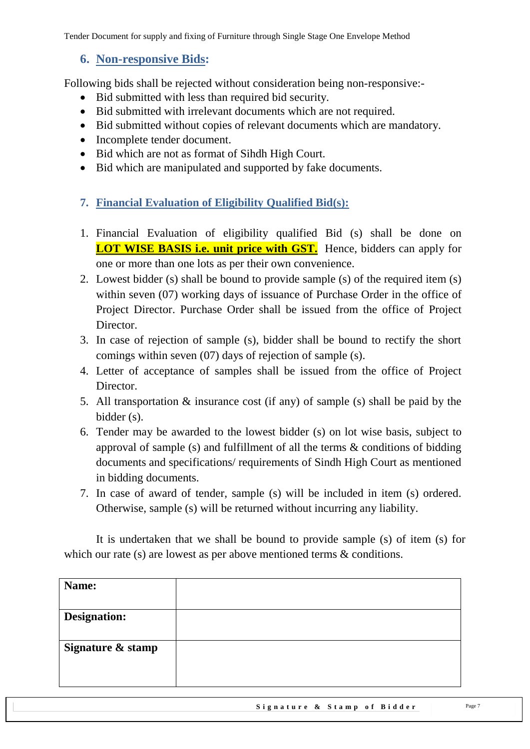## <span id="page-6-0"></span>**6. Non-responsive Bids:**

Following bids shall be rejected without consideration being non-responsive:-

- Bid submitted with less than required bid security.
- Bid submitted with irrelevant documents which are not required.
- Bid submitted without copies of relevant documents which are mandatory.
- Incomplete tender document.
- Bid which are not as format of Sihdh High Court.
- <span id="page-6-1"></span>• Bid which are manipulated and supported by fake documents.
- **7. Financial Evaluation of Eligibility Qualified Bid(s):**
- 1. Financial Evaluation of eligibility qualified Bid (s) shall be done on **LOT WISE BASIS i.e. unit price with GST.** Hence, bidders can apply for one or more than one lots as per their own convenience.
- 2. Lowest bidder (s) shall be bound to provide sample (s) of the required item (s) within seven (07) working days of issuance of Purchase Order in the office of Project Director. Purchase Order shall be issued from the office of Project Director.
- 3. In case of rejection of sample (s), bidder shall be bound to rectify the short comings within seven (07) days of rejection of sample (s).
- 4. Letter of acceptance of samples shall be issued from the office of Project Director.
- 5. All transportation & insurance cost (if any) of sample (s) shall be paid by the bidder (s).
- 6. Tender may be awarded to the lowest bidder (s) on lot wise basis, subject to approval of sample (s) and fulfillment of all the terms & conditions of bidding documents and specifications/ requirements of Sindh High Court as mentioned in bidding documents.
- 7. In case of award of tender, sample (s) will be included in item (s) ordered. Otherwise, sample (s) will be returned without incurring any liability.

It is undertaken that we shall be bound to provide sample (s) of item (s) for which our rate (s) are lowest as per above mentioned terms & conditions.

| Name:               |  |
|---------------------|--|
| <b>Designation:</b> |  |
| Signature & stamp   |  |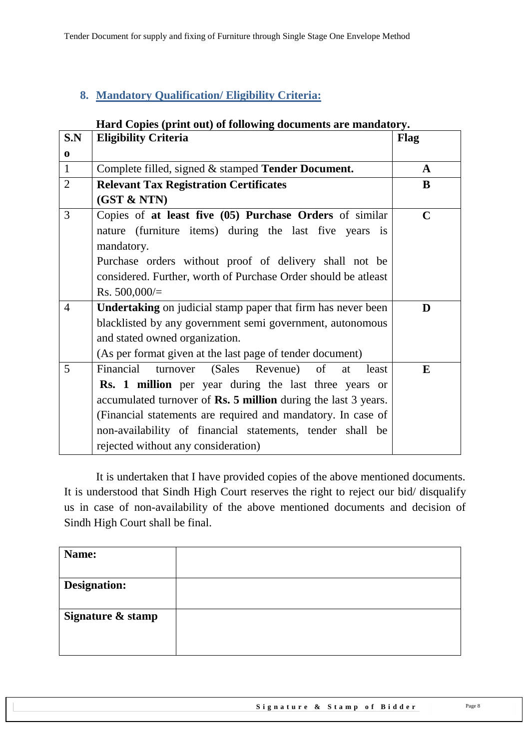# <span id="page-7-0"></span>**8. Mandatory Qualification/ Eligibility Criteria:**

#### **Hard Copies (print out) of following documents are mandatory.**

| S.N            | <b>Eligibility Criteria</b>                                           | Flag        |
|----------------|-----------------------------------------------------------------------|-------------|
| $\mathbf 0$    |                                                                       |             |
| $\mathbf{1}$   | Complete filled, signed & stamped Tender Document.                    | A           |
| $\overline{2}$ | <b>Relevant Tax Registration Certificates</b>                         | B           |
|                | (GST & NTN)                                                           |             |
| 3              | Copies of at least five (05) Purchase Orders of similar               | $\mathbf C$ |
|                | nature (furniture items) during the last five years is                |             |
|                | mandatory.                                                            |             |
|                | Purchase orders without proof of delivery shall not be                |             |
|                | considered. Further, worth of Purchase Order should be atleast        |             |
|                | Rs. $500,000/$                                                        |             |
| $\overline{4}$ | <b>Undertaking</b> on judicial stamp paper that firm has never been   | D           |
|                | blacklisted by any government semi government, autonomous             |             |
|                | and stated owned organization.                                        |             |
|                | (As per format given at the last page of tender document)             |             |
| 5              | Financial<br>(Sales Revenue) of<br>turnover<br>at<br>least            | E           |
|                | <b>Rs.</b> 1 million per year during the last three years or          |             |
|                | accumulated turnover of <b>Rs. 5 million</b> during the last 3 years. |             |
|                | (Financial statements are required and mandatory. In case of          |             |
|                | non-availability of financial statements, tender shall be             |             |
|                | rejected without any consideration)                                   |             |

It is undertaken that I have provided copies of the above mentioned documents. It is understood that Sindh High Court reserves the right to reject our bid/ disqualify us in case of non-availability of the above mentioned documents and decision of Sindh High Court shall be final.

| Name:               |  |
|---------------------|--|
| <b>Designation:</b> |  |
| Signature & stamp   |  |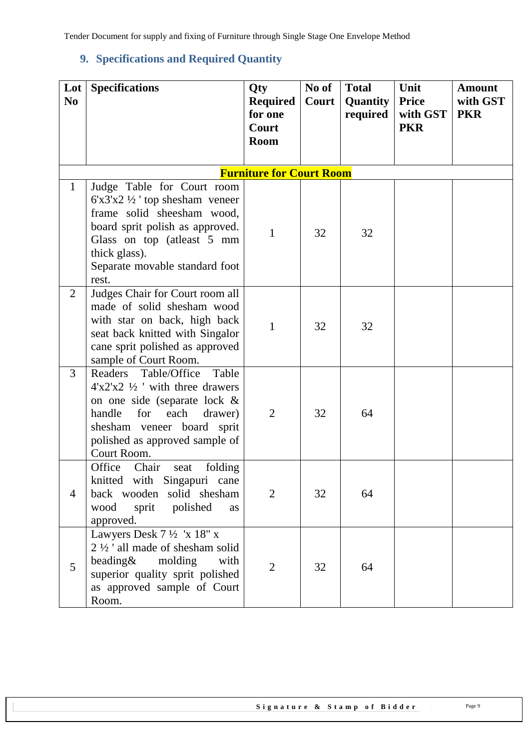# <span id="page-8-0"></span>**9. Specifications and Required Quantity**

| Lot<br>N <sub>0</sub> | <b>Specifications</b>                                                                                                                                                                                                    | Qty<br><b>Required</b><br>for one | No of<br>Court | <b>Total</b><br>Quantity<br>required | Unit<br><b>Price</b><br>with GST | <b>Amount</b><br>with GST<br><b>PKR</b> |
|-----------------------|--------------------------------------------------------------------------------------------------------------------------------------------------------------------------------------------------------------------------|-----------------------------------|----------------|--------------------------------------|----------------------------------|-----------------------------------------|
|                       |                                                                                                                                                                                                                          | Court<br>Room                     |                |                                      | <b>PKR</b>                       |                                         |
|                       |                                                                                                                                                                                                                          | <b>Furniture for Court Room</b>   |                |                                      |                                  |                                         |
| $\mathbf{1}$          | Judge Table for Court room<br>$6'x3'x2'2'$ top shesham veneer<br>frame solid sheesham wood,<br>board sprit polish as approved.<br>Glass on top (atleast 5 mm<br>thick glass).<br>Separate movable standard foot<br>rest. | $\mathbf{1}$                      | 32             | 32                                   |                                  |                                         |
| $\overline{2}$        | Judges Chair for Court room all<br>made of solid shesham wood<br>with star on back, high back<br>seat back knitted with Singalor<br>cane sprit polished as approved<br>sample of Court Room.                             | 1                                 | 32             | 32                                   |                                  |                                         |
| $\overline{3}$        | Table<br>Readers Table/Office<br>$4'x2'x2'2'$ with three drawers<br>on one side (separate lock &<br>handle<br>for<br>each<br>drawer)<br>shesham veneer board sprit<br>polished as approved sample of<br>Court Room.      | $\overline{2}$                    | 32             | 64                                   |                                  |                                         |
| $\overline{4}$        | Office<br>Chair<br>folding<br>seat<br>knitted with Singapuri cane<br>back wooden solid shesham<br>wood<br>sprit<br>polished<br>as<br>approved.                                                                           | 2                                 | 32             | 64                                   |                                  |                                         |
| 5                     | Lawyers Desk $7\frac{1}{2}$ 'x 18" x<br>$2\frac{1}{2}$ all made of shesham solid<br>beading $&$<br>molding<br>with<br>superior quality sprit polished<br>as approved sample of Court<br>Room.                            | $\overline{2}$                    | 32             | 64                                   |                                  |                                         |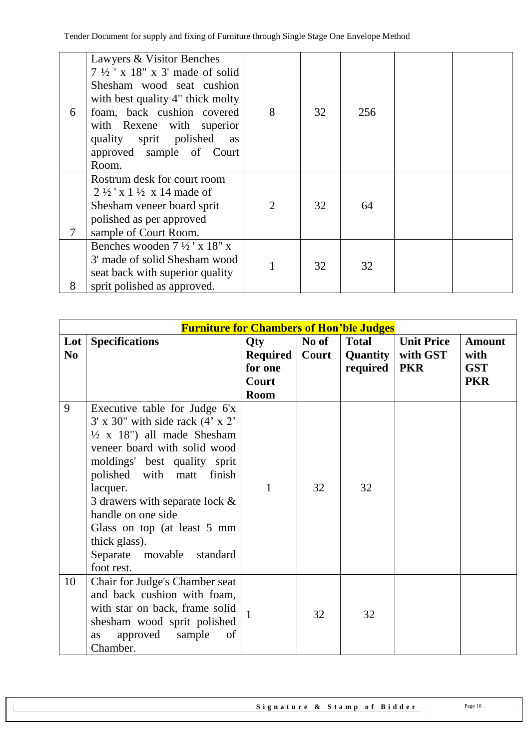| 6 | Lawyers & Visitor Benches<br>$7\frac{1}{2}$ ' x 18" x 3' made of solid<br>Shesham wood seat cushion<br>with best quality 4" thick molty<br>foam, back cushion covered<br>with Rexene with superior<br>quality sprit polished<br>as<br>approved sample of Court<br>Room. | 8 | 32 | 256 |  |
|---|-------------------------------------------------------------------------------------------------------------------------------------------------------------------------------------------------------------------------------------------------------------------------|---|----|-----|--|
| 7 | Rostrum desk for court room<br>$2\frac{1}{2}$ x 1 $\frac{1}{2}$ x 14 made of<br>Shesham veneer board sprit<br>polished as per approved<br>sample of Court Room.                                                                                                         | 2 | 32 | 64  |  |
| 8 | Benches wooden $7\frac{1}{2}$ ' x 18" x<br>3' made of solid Shesham wood<br>seat back with superior quality<br>sprit polished as approved.                                                                                                                              |   | 32 | 32  |  |

|            | <b>Furniture for Chambers of Hon'ble Judges</b>                                                                                                                                                                                                                                                                                                                                            |                                                    |                |                                        |                                             |                                                   |
|------------|--------------------------------------------------------------------------------------------------------------------------------------------------------------------------------------------------------------------------------------------------------------------------------------------------------------------------------------------------------------------------------------------|----------------------------------------------------|----------------|----------------------------------------|---------------------------------------------|---------------------------------------------------|
| Lot<br>No. | <b>Specifications</b>                                                                                                                                                                                                                                                                                                                                                                      | Qty<br>Required<br>for one<br>Court<br><b>Room</b> | No of<br>Court | <b>Total</b><br>Quantity  <br>required | <b>Unit Price</b><br>with GST<br><b>PKR</b> | <b>Amount</b><br>with<br><b>GST</b><br><b>PKR</b> |
| 9          | Executive table for Judge 6'x<br>$3'$ x $30''$ with side rack $(4' \times 2'')$<br>$\frac{1}{2}$ x 18") all made Shesham<br>veneer board with solid wood<br>moldings' best quality sprit<br>polished with matt finish<br>lacquer.<br>3 drawers with separate lock $\&$<br>handle on one side<br>Glass on top (at least 5 mm<br>thick glass).<br>Separate movable<br>standard<br>foot rest. | 1                                                  | 32             | 32                                     |                                             |                                                   |
| 10         | Chair for Judge's Chamber seat<br>and back cushion with foam,<br>with star on back, frame solid<br>shesham wood sprit polished<br>approved<br>sample<br>of<br><b>as</b><br>Chamber.                                                                                                                                                                                                        | $\mathbf{1}$                                       | 32             | 32                                     |                                             |                                                   |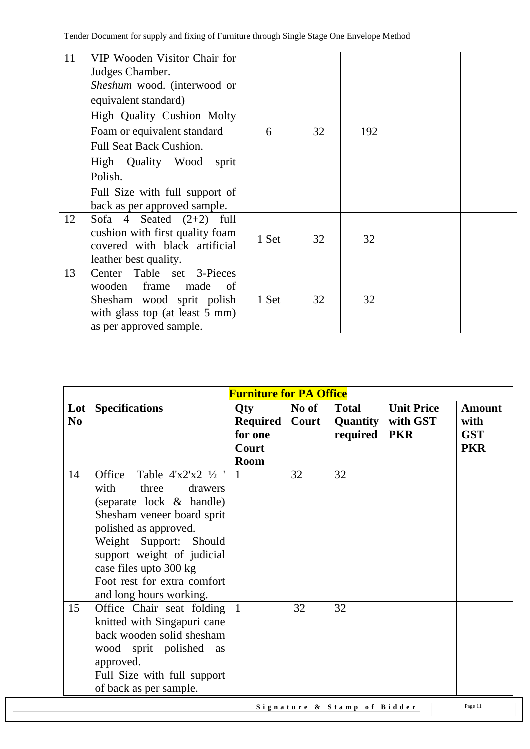| 11 | VIP Wooden Visitor Chair for<br>Judges Chamber.<br>Sheshum wood. (interwood or<br>equivalent standard)<br>High Quality Cushion Molty<br>Foam or equivalent standard<br><b>Full Seat Back Cushion.</b><br>High Quality Wood<br>sprit<br>Polish.<br>Full Size with full support of<br>back as per approved sample. | 6     | 32 | 192 |  |
|----|------------------------------------------------------------------------------------------------------------------------------------------------------------------------------------------------------------------------------------------------------------------------------------------------------------------|-------|----|-----|--|
| 12 | Sofa $4$ Seated $(2+2)$ full<br>cushion with first quality foam<br>covered with black artificial<br>leather best quality.                                                                                                                                                                                        | 1 Set | 32 | 32  |  |
| 13 | Table set 3-Pieces<br>Center<br>made<br>wooden<br>frame<br>of<br>Shesham wood sprit polish<br>with glass top (at least 5 mm)<br>as per approved sample.                                                                                                                                                          | 1 Set | 32 | 32  |  |

|                 |                                                                                                                                                                                                                                                                                         | <b>Furniture for PA Office</b> |       |                             |                   |               |
|-----------------|-----------------------------------------------------------------------------------------------------------------------------------------------------------------------------------------------------------------------------------------------------------------------------------------|--------------------------------|-------|-----------------------------|-------------------|---------------|
| $_{\text{Lot}}$ | <b>Specifications</b>                                                                                                                                                                                                                                                                   | <b>Qty</b>                     | No of | <b>Total</b>                | <b>Unit Price</b> | <b>Amount</b> |
| N <sub>0</sub>  |                                                                                                                                                                                                                                                                                         | Required                       | Court | <b>Quantity</b>             | with GST          | with          |
|                 |                                                                                                                                                                                                                                                                                         | for one                        |       | required                    | <b>PKR</b>        | <b>GST</b>    |
|                 |                                                                                                                                                                                                                                                                                         | Court                          |       |                             |                   | <b>PKR</b>    |
|                 |                                                                                                                                                                                                                                                                                         | <b>Room</b>                    |       |                             |                   |               |
| 14              | Office<br>Table $4'x2'x2'2'$<br>with<br>three<br>drawers<br>(separate lock & handle)<br>Shesham veneer board sprit<br>polished as approved.<br>Weight Support: Should<br>support weight of judicial<br>case files upto 300 kg<br>Foot rest for extra comfort<br>and long hours working. | $\mathbf{1}$                   | 32    | 32                          |                   |               |
| 15              | Office Chair seat folding<br>knitted with Singapuri cane<br>back wooden solid shesham<br>wood sprit polished<br>as<br>approved.<br>Full Size with full support<br>of back as per sample.                                                                                                | $\overline{1}$                 | 32    | 32                          |                   |               |
|                 |                                                                                                                                                                                                                                                                                         |                                |       | Signature & Stamp of Bidder |                   | Page 11       |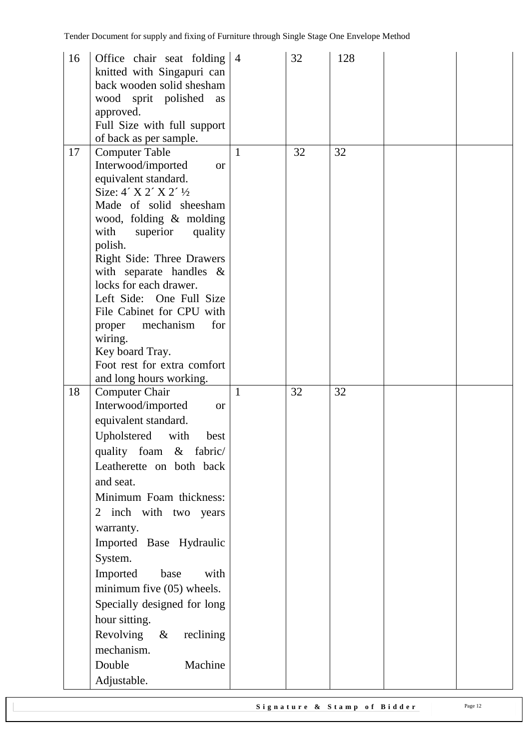| 16 | Office chair seat folding $ 4$<br>knitted with Singapuri can<br>back wooden solid shesham<br>wood sprit polished<br>as<br>approved.<br>Full Size with full support<br>of back as per sample.                                                                                                                                                                                                                                                                                              |              | 32 | 128 |  |
|----|-------------------------------------------------------------------------------------------------------------------------------------------------------------------------------------------------------------------------------------------------------------------------------------------------------------------------------------------------------------------------------------------------------------------------------------------------------------------------------------------|--------------|----|-----|--|
| 17 | <b>Computer Table</b><br>Interwood/imported<br><b>or</b><br>equivalent standard.<br>Size: $4'$ X 2' X 2' $\frac{1}{2}$<br>Made of solid sheesham<br>wood, folding & molding<br>with<br>superior<br>quality<br>polish.<br>Right Side: Three Drawers<br>with separate handles $\&$<br>locks for each drawer.<br>Left Side: One Full Size<br>File Cabinet for CPU with<br>mechanism<br>for<br>proper<br>wiring.<br>Key board Tray.<br>Foot rest for extra comfort<br>and long hours working. | $\mathbf{1}$ | 32 | 32  |  |
| 18 | <b>Computer Chair</b><br>Interwood/imported<br><b>or</b><br>equivalent standard.<br>Upholstered<br>with<br>best<br>quality foam & fabric/<br>Leatherette on both back<br>and seat.<br>Minimum Foam thickness:<br>2 inch with two years<br>warranty.<br>Imported Base Hydraulic<br>System.<br>Imported<br>base<br>with<br>minimum five (05) wheels.<br>Specially designed for long<br>hour sitting.<br>Revolving $\&$<br>reclining<br>mechanism.<br>Double<br>Machine<br>Adjustable.       | 1            | 32 | 32  |  |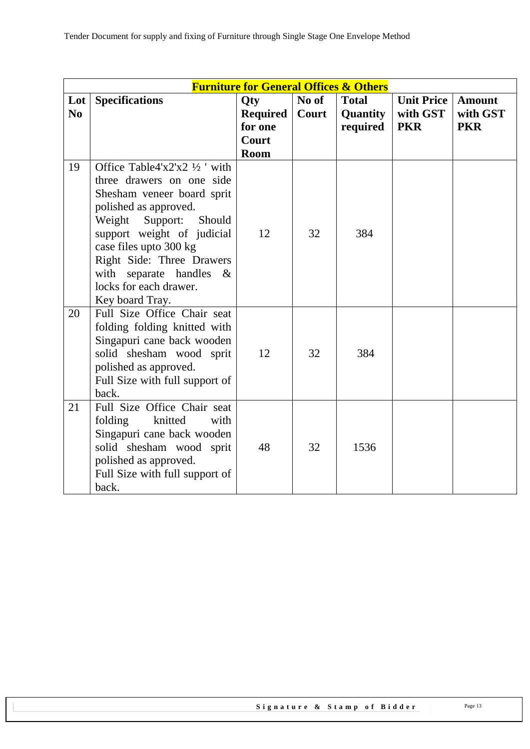|                |                                                        | <b>Furniture for General Offices &amp; Others</b> |       |              |                   |               |
|----------------|--------------------------------------------------------|---------------------------------------------------|-------|--------------|-------------------|---------------|
| Lot            | <b>Specifications</b>                                  | <b>Oty</b>                                        | No of | <b>Total</b> | <b>Unit Price</b> | <b>Amount</b> |
| N <sub>0</sub> |                                                        | <b>Required</b>                                   | Court | Quantity     | with GST          | with GST      |
|                |                                                        | for one                                           |       | required     | <b>PKR</b>        | <b>PKR</b>    |
|                |                                                        | Court<br><b>Room</b>                              |       |              |                   |               |
| 19             | Office Table4'x2'x2 $\frac{1}{2}$ ' with               |                                                   |       |              |                   |               |
|                | three drawers on one side                              |                                                   |       |              |                   |               |
|                | Shesham veneer board sprit                             |                                                   |       |              |                   |               |
|                | polished as approved.                                  |                                                   |       |              |                   |               |
|                | Weight Support: Should                                 |                                                   |       |              |                   |               |
|                | support weight of judicial                             | 12                                                | 32    | 384          |                   |               |
|                | case files upto 300 kg                                 |                                                   |       |              |                   |               |
|                | Right Side: Three Drawers                              |                                                   |       |              |                   |               |
|                | with separate handles $\&$                             |                                                   |       |              |                   |               |
|                | locks for each drawer.                                 |                                                   |       |              |                   |               |
|                | Key board Tray.                                        |                                                   |       |              |                   |               |
| 20             | Full Size Office Chair seat                            |                                                   |       |              |                   |               |
|                | folding folding knitted with                           |                                                   |       |              |                   |               |
|                | Singapuri cane back wooden<br>solid shesham wood sprit | 12                                                | 32    | 384          |                   |               |
|                | polished as approved.                                  |                                                   |       |              |                   |               |
|                | Full Size with full support of                         |                                                   |       |              |                   |               |
|                | back.                                                  |                                                   |       |              |                   |               |
| 21             | Full Size Office Chair seat                            |                                                   |       |              |                   |               |
|                | folding<br>knitted<br>with                             |                                                   |       |              |                   |               |
|                | Singapuri cane back wooden                             |                                                   |       |              |                   |               |
|                | solid shesham wood sprit                               | 48                                                | 32    | 1536         |                   |               |
|                | polished as approved.                                  |                                                   |       |              |                   |               |
|                | Full Size with full support of                         |                                                   |       |              |                   |               |
|                | back.                                                  |                                                   |       |              |                   |               |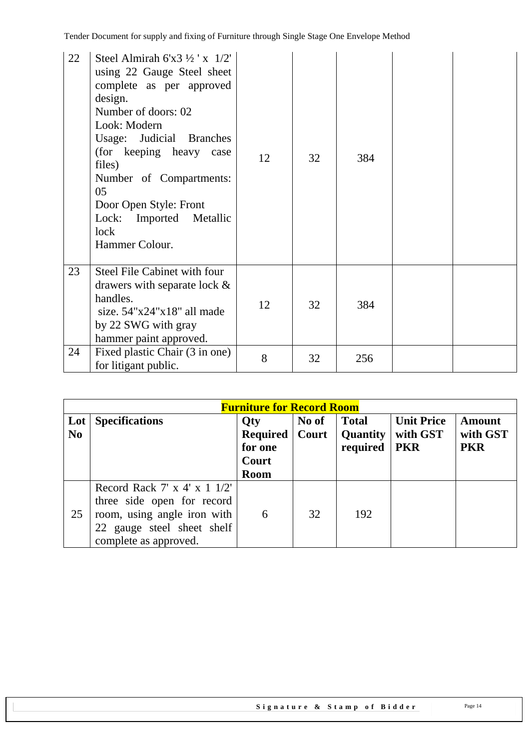| 22 | Steel Almirah 6'x3 ½ ' x $1/2$ '<br>using 22 Gauge Steel sheet<br>complete as per approved<br>design.<br>Number of doors: 02<br>Look: Modern<br>Usage: Judicial Branches<br>(for keeping heavy case<br>files)<br>Number of Compartments:<br>05<br>Door Open Style: Front<br>Lock: Imported Metallic<br>lock<br>Hammer Colour. | 12 | 32 | 384 |  |
|----|-------------------------------------------------------------------------------------------------------------------------------------------------------------------------------------------------------------------------------------------------------------------------------------------------------------------------------|----|----|-----|--|
| 23 | Steel File Cabinet with four<br>drawers with separate lock $\&$<br>handles.<br>size. $54"x24"x18"$ all made<br>by 22 SWG with gray<br>hammer paint approved.                                                                                                                                                                  | 12 | 32 | 384 |  |
| 24 | Fixed plastic Chair (3 in one)<br>for litigant public.                                                                                                                                                                                                                                                                        | 8  | 32 | 256 |  |

|                       |                                                                                                                                                             | <b>Furniture for Record Room</b>                                 |                |                                      |                                             |                                  |
|-----------------------|-------------------------------------------------------------------------------------------------------------------------------------------------------------|------------------------------------------------------------------|----------------|--------------------------------------|---------------------------------------------|----------------------------------|
| Lot<br>N <sub>0</sub> | <b>Specifications</b>                                                                                                                                       | <b>Qty</b><br><b>Required</b><br>for one<br>Court<br><b>Room</b> | No of<br>Court | <b>Total</b><br>Quantity<br>required | <b>Unit Price</b><br>with GST<br><b>PKR</b> | Amount<br>with GST<br><b>PKR</b> |
| 25                    | Record Rack 7' x 4' x $1 \frac{1}{2}$ '<br>three side open for record<br>room, using angle iron with<br>22 gauge steel sheet shelf<br>complete as approved. | 6                                                                | 32             | 192                                  |                                             |                                  |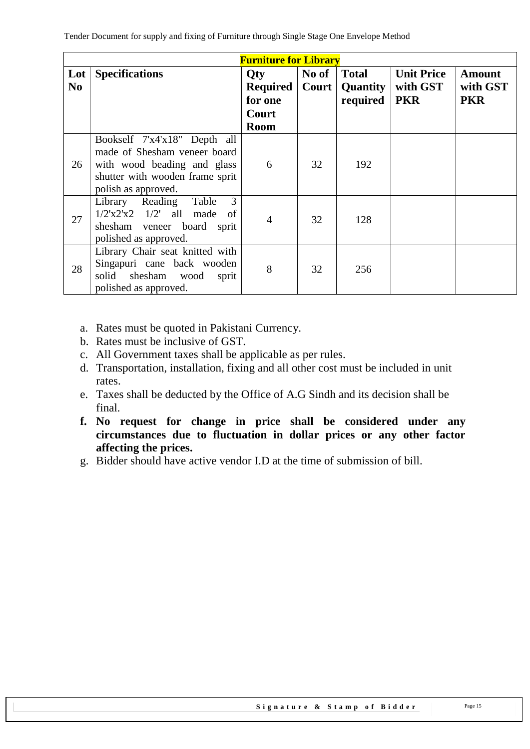|           |                                                                                                                                                       | <b>Furniture for Library</b>                                     |       |                                                       |                                             |                                  |
|-----------|-------------------------------------------------------------------------------------------------------------------------------------------------------|------------------------------------------------------------------|-------|-------------------------------------------------------|---------------------------------------------|----------------------------------|
| Lot<br>No | <b>Specifications</b>                                                                                                                                 | <b>Oty</b><br><b>Required</b><br>for one<br>Court<br><b>Room</b> | No of | <b>Total</b><br><b>Court   Quantity  </b><br>required | <b>Unit Price</b><br>with GST<br><b>PKR</b> | Amount<br>with GST<br><b>PKR</b> |
| 26        | Bookself 7'x4'x18" Depth all<br>made of Shesham veneer board<br>with wood beading and glass<br>shutter with wooden frame sprit<br>polish as approved. | 6                                                                | 32    | 192                                                   |                                             |                                  |
| 27        | 3<br>Table<br>Library Reading<br>$1/2'x2'x2$ $1/2'$ all made<br>of<br>shesham veneer board sprit<br>polished as approved.                             | 4                                                                | 32    | 128                                                   |                                             |                                  |
| 28        | Library Chair seat knitted with<br>Singapuri cane back wooden<br>shesham wood sprit<br>solid<br>polished as approved.                                 | 8                                                                | 32    | 256                                                   |                                             |                                  |

- a. Rates must be quoted in Pakistani Currency.
- b. Rates must be inclusive of GST.
- c. All Government taxes shall be applicable as per rules.
- d. Transportation, installation, fixing and all other cost must be included in unit rates.
- e. Taxes shall be deducted by the Office of A.G Sindh and its decision shall be final.
- **f. No request for change in price shall be considered under any circumstances due to fluctuation in dollar prices or any other factor affecting the prices.**
- g. Bidder should have active vendor I.D at the time of submission of bill.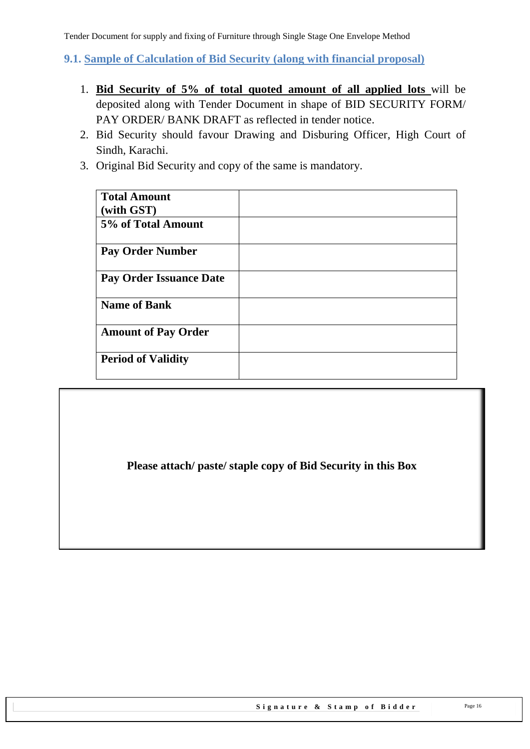<span id="page-15-0"></span>**9.1. Sample of Calculation of Bid Security (along with financial proposal)**

- 1. **Bid Security of 5% of total quoted amount of all applied lots** will be deposited along with Tender Document in shape of BID SECURITY FORM/ PAY ORDER/ BANK DRAFT as reflected in tender notice.
- 2. Bid Security should favour Drawing and Disburing Officer, High Court of Sindh, Karachi.
- 3. Original Bid Security and copy of the same is mandatory.

| <b>Total Amount</b>            |  |
|--------------------------------|--|
| (with GST)                     |  |
| 5% of Total Amount             |  |
| <b>Pay Order Number</b>        |  |
| <b>Pay Order Issuance Date</b> |  |
| <b>Name of Bank</b>            |  |
| <b>Amount of Pay Order</b>     |  |
| <b>Period of Validity</b>      |  |

<span id="page-15-1"></span>**Please attach/ paste/ staple copy of Bid Security in this Box**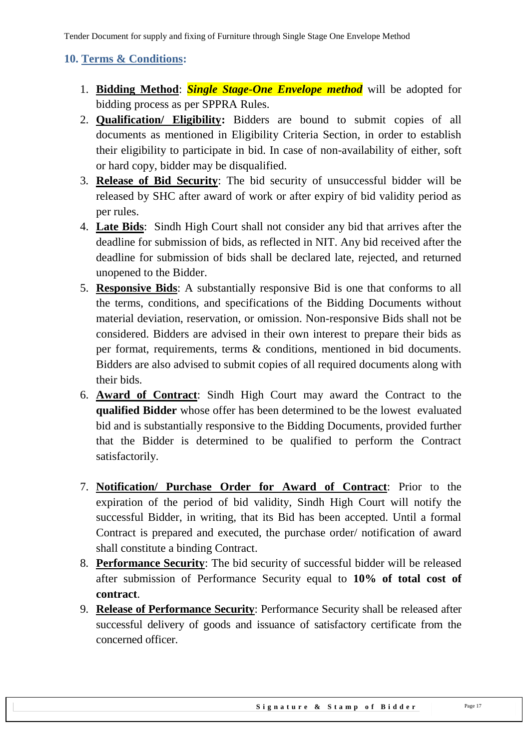## **10. Terms & Conditions:**

- 1. **Bidding Method**: *Single Stage-One Envelope method* will be adopted for bidding process as per SPPRA Rules.
- 2. **Qualification/ Eligibility:** Bidders are bound to submit copies of all documents as mentioned in Eligibility Criteria Section, in order to establish their eligibility to participate in bid. In case of non-availability of either, soft or hard copy, bidder may be disqualified.
- 3. **Release of Bid Security**: The bid security of unsuccessful bidder will be released by SHC after award of work or after expiry of bid validity period as per rules.
- 4. **Late Bids**: Sindh High Court shall not consider any bid that arrives after the deadline for submission of bids, as reflected in NIT. Any bid received after the deadline for submission of bids shall be declared late, rejected, and returned unopened to the Bidder.
- 5. **Responsive Bids**: A substantially responsive Bid is one that conforms to all the terms, conditions, and specifications of the Bidding Documents without material deviation, reservation, or omission. Non-responsive Bids shall not be considered. Bidders are advised in their own interest to prepare their bids as per format, requirements, terms & conditions, mentioned in bid documents. Bidders are also advised to submit copies of all required documents along with their bids.
- 6. **Award of Contract**: Sindh High Court may award the Contract to the **qualified Bidder** whose offer has been determined to be the lowest evaluated bid and is substantially responsive to the Bidding Documents, provided further that the Bidder is determined to be qualified to perform the Contract satisfactorily.
- 7. **Notification/ Purchase Order for Award of Contract**: Prior to the expiration of the period of bid validity, Sindh High Court will notify the successful Bidder, in writing, that its Bid has been accepted. Until a formal Contract is prepared and executed, the purchase order/ notification of award shall constitute a binding Contract.
- 8. **Performance Security**: The bid security of successful bidder will be released after submission of Performance Security equal to **10% of total cost of contract**.
- 9. **Release of Performance Security**: Performance Security shall be released after successful delivery of goods and issuance of satisfactory certificate from the concerned officer.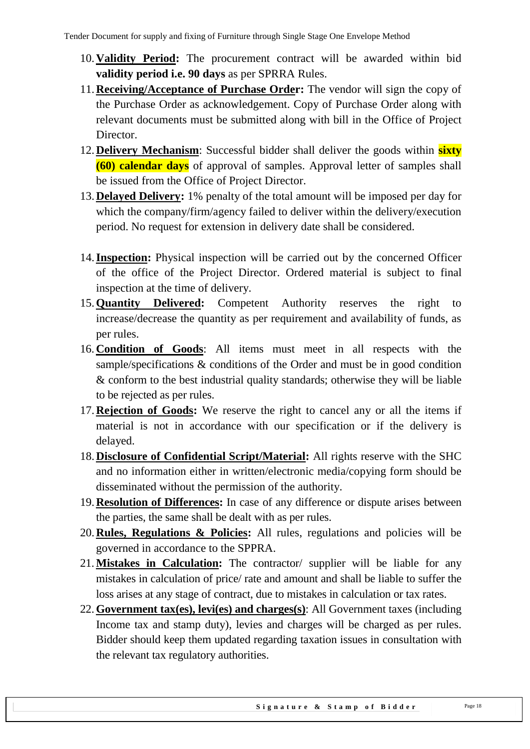- 10.**Validity Period:** The procurement contract will be awarded within bid **validity period i.e. 90 days** as per SPRRA Rules.
- 11.**Receiving/Acceptance of Purchase Order:** The vendor will sign the copy of the Purchase Order as acknowledgement. Copy of Purchase Order along with relevant documents must be submitted along with bill in the Office of Project Director.
- 12.**Delivery Mechanism**: Successful bidder shall deliver the goods within **sixty (60) calendar days** of approval of samples. Approval letter of samples shall be issued from the Office of Project Director.
- 13.**Delayed Delivery:** 1% penalty of the total amount will be imposed per day for which the company/firm/agency failed to deliver within the delivery/execution period. No request for extension in delivery date shall be considered.
- 14.**Inspection:** Physical inspection will be carried out by the concerned Officer of the office of the Project Director. Ordered material is subject to final inspection at the time of delivery.
- 15.**Quantity Delivered:** Competent Authority reserves the right to increase/decrease the quantity as per requirement and availability of funds, as per rules.
- 16. **Condition of Goods**: All items must meet in all respects with the sample/specifications & conditions of the Order and must be in good condition & conform to the best industrial quality standards; otherwise they will be liable to be rejected as per rules.
- 17.**Rejection of Goods:** We reserve the right to cancel any or all the items if material is not in accordance with our specification or if the delivery is delayed.
- 18.**Disclosure of Confidential Script/Material:** All rights reserve with the SHC and no information either in written/electronic media/copying form should be disseminated without the permission of the authority.
- 19.**Resolution of Differences:** In case of any difference or dispute arises between the parties, the same shall be dealt with as per rules.
- 20.**Rules, Regulations & Policies:** All rules, regulations and policies will be governed in accordance to the SPPRA.
- 21.**Mistakes in Calculation:** The contractor/ supplier will be liable for any mistakes in calculation of price/ rate and amount and shall be liable to suffer the loss arises at any stage of contract, due to mistakes in calculation or tax rates.
- 22. **Government tax(es), levi(es) and charges(s)**: All Government taxes (including Income tax and stamp duty), levies and charges will be charged as per rules. Bidder should keep them updated regarding taxation issues in consultation with the relevant tax regulatory authorities.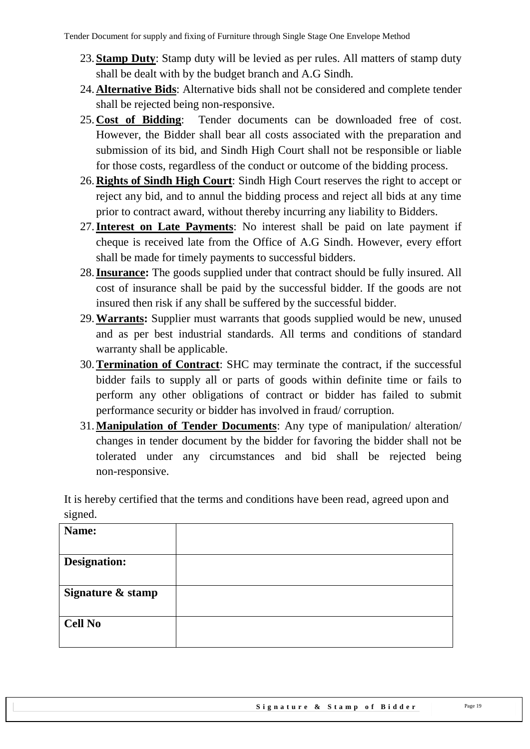- 23.**Stamp Duty**: Stamp duty will be levied as per rules. All matters of stamp duty shall be dealt with by the budget branch and A.G Sindh.
- 24.**Alternative Bids**: Alternative bids shall not be considered and complete tender shall be rejected being non-responsive.
- 25.**Cost of Bidding**: Tender documents can be downloaded free of cost. However, the Bidder shall bear all costs associated with the preparation and submission of its bid, and Sindh High Court shall not be responsible or liable for those costs, regardless of the conduct or outcome of the bidding process.
- 26.**Rights of Sindh High Court**: Sindh High Court reserves the right to accept or reject any bid, and to annul the bidding process and reject all bids at any time prior to contract award, without thereby incurring any liability to Bidders.
- 27.**Interest on Late Payments**: No interest shall be paid on late payment if cheque is received late from the Office of A.G Sindh. However, every effort shall be made for timely payments to successful bidders.
- 28.**Insurance:** The goods supplied under that contract should be fully insured. All cost of insurance shall be paid by the successful bidder. If the goods are not insured then risk if any shall be suffered by the successful bidder.
- 29.**Warrants:** Supplier must warrants that goods supplied would be new, unused and as per best industrial standards. All terms and conditions of standard warranty shall be applicable.
- 30.**Termination of Contract**: SHC may terminate the contract, if the successful bidder fails to supply all or parts of goods within definite time or fails to perform any other obligations of contract or bidder has failed to submit performance security or bidder has involved in fraud/ corruption.
- 31.**Manipulation of Tender Documents**: Any type of manipulation/ alteration/ changes in tender document by the bidder for favoring the bidder shall not be tolerated under any circumstances and bid shall be rejected being non-responsive.

It is hereby certified that the terms and conditions have been read, agreed upon and signed.

| Name:               |  |
|---------------------|--|
|                     |  |
| <b>Designation:</b> |  |
| Signature & stamp   |  |
| <b>Cell No</b>      |  |